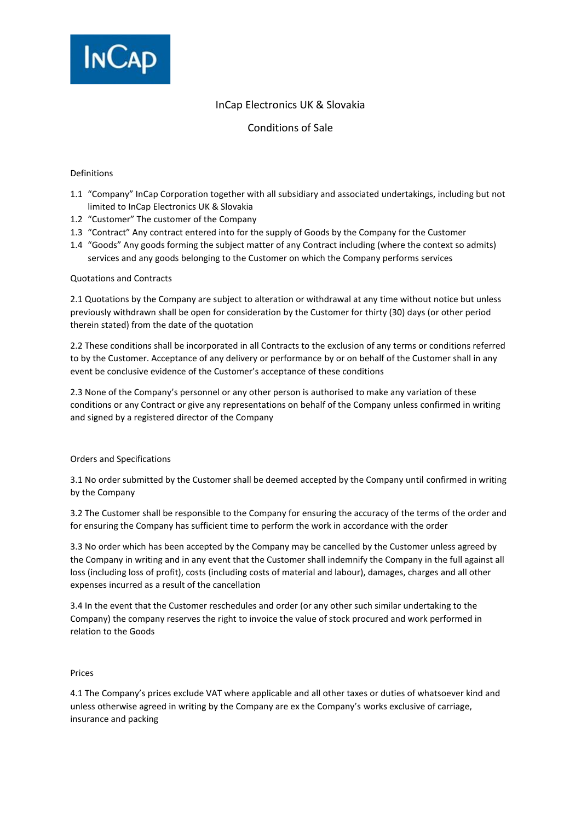

# InCap Electronics UK & Slovakia

Conditions of Sale

# Definitions

- 1.1 "Company" InCap Corporation together with all subsidiary and associated undertakings, including but not limited to InCap Electronics UK & Slovakia
- 1.2 "Customer" The customer of the Company
- 1.3 "Contract" Any contract entered into for the supply of Goods by the Company for the Customer
- 1.4 "Goods" Any goods forming the subject matter of any Contract including (where the context so admits) services and any goods belonging to the Customer on which the Company performs services

## Quotations and Contracts

2.1 Quotations by the Company are subject to alteration or withdrawal at any time without notice but unless previously withdrawn shall be open for consideration by the Customer for thirty (30) days (or other period therein stated) from the date of the quotation

2.2 These conditions shall be incorporated in all Contracts to the exclusion of any terms or conditions referred to by the Customer. Acceptance of any delivery or performance by or on behalf of the Customer shall in any event be conclusive evidence of the Customer's acceptance of these conditions

2.3 None of the Company's personnel or any other person is authorised to make any variation of these conditions or any Contract or give any representations on behalf of the Company unless confirmed in writing and signed by a registered director of the Company

# Orders and Specifications

3.1 No order submitted by the Customer shall be deemed accepted by the Company until confirmed in writing by the Company

3.2 The Customer shall be responsible to the Company for ensuring the accuracy of the terms of the order and for ensuring the Company has sufficient time to perform the work in accordance with the order

3.3 No order which has been accepted by the Company may be cancelled by the Customer unless agreed by the Company in writing and in any event that the Customer shall indemnify the Company in the full against all loss (including loss of profit), costs (including costs of material and labour), damages, charges and all other expenses incurred as a result of the cancellation

3.4 In the event that the Customer reschedules and order (or any other such similar undertaking to the Company) the company reserves the right to invoice the value of stock procured and work performed in relation to the Goods

### Prices

4.1 The Company's prices exclude VAT where applicable and all other taxes or duties of whatsoever kind and unless otherwise agreed in writing by the Company are ex the Company's works exclusive of carriage, insurance and packing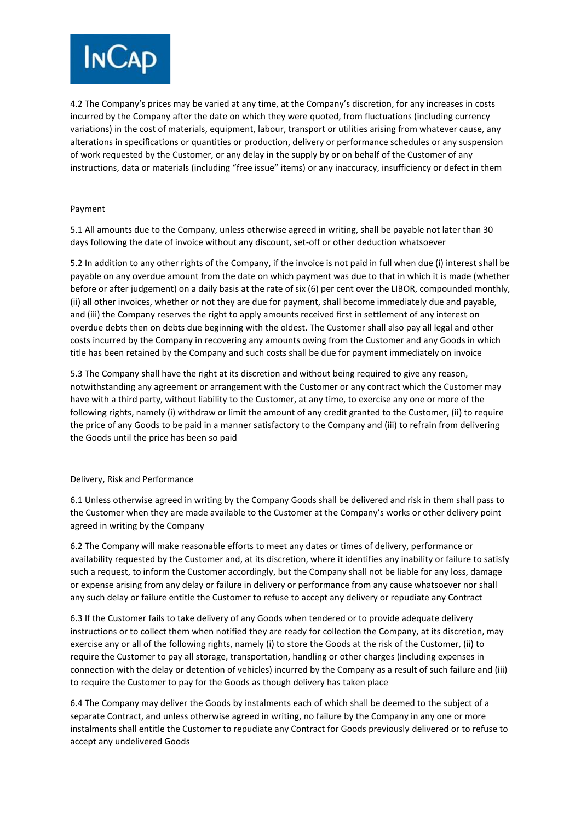

4.2 The Company's prices may be varied at any time, at the Company's discretion, for any increases in costs incurred by the Company after the date on which they were quoted, from fluctuations (including currency variations) in the cost of materials, equipment, labour, transport or utilities arising from whatever cause, any alterations in specifications or quantities or production, delivery or performance schedules or any suspension of work requested by the Customer, or any delay in the supply by or on behalf of the Customer of any instructions, data or materials (including "free issue" items) or any inaccuracy, insufficiency or defect in them

# Payment

5.1 All amounts due to the Company, unless otherwise agreed in writing, shall be payable not later than 30 days following the date of invoice without any discount, set-off or other deduction whatsoever

5.2 In addition to any other rights of the Company, if the invoice is not paid in full when due (i) interest shall be payable on any overdue amount from the date on which payment was due to that in which it is made (whether before or after judgement) on a daily basis at the rate of six (6) per cent over the LIBOR, compounded monthly, (ii) all other invoices, whether or not they are due for payment, shall become immediately due and payable, and (iii) the Company reserves the right to apply amounts received first in settlement of any interest on overdue debts then on debts due beginning with the oldest. The Customer shall also pay all legal and other costs incurred by the Company in recovering any amounts owing from the Customer and any Goods in which title has been retained by the Company and such costs shall be due for payment immediately on invoice

5.3 The Company shall have the right at its discretion and without being required to give any reason, notwithstanding any agreement or arrangement with the Customer or any contract which the Customer may have with a third party, without liability to the Customer, at any time, to exercise any one or more of the following rights, namely (i) withdraw or limit the amount of any credit granted to the Customer, (ii) to require the price of any Goods to be paid in a manner satisfactory to the Company and (iii) to refrain from delivering the Goods until the price has been so paid

# Delivery, Risk and Performance

6.1 Unless otherwise agreed in writing by the Company Goods shall be delivered and risk in them shall pass to the Customer when they are made available to the Customer at the Company's works or other delivery point agreed in writing by the Company

6.2 The Company will make reasonable efforts to meet any dates or times of delivery, performance or availability requested by the Customer and, at its discretion, where it identifies any inability or failure to satisfy such a request, to inform the Customer accordingly, but the Company shall not be liable for any loss, damage or expense arising from any delay or failure in delivery or performance from any cause whatsoever nor shall any such delay or failure entitle the Customer to refuse to accept any delivery or repudiate any Contract

6.3 If the Customer fails to take delivery of any Goods when tendered or to provide adequate delivery instructions or to collect them when notified they are ready for collection the Company, at its discretion, may exercise any or all of the following rights, namely (i) to store the Goods at the risk of the Customer, (ii) to require the Customer to pay all storage, transportation, handling or other charges (including expenses in connection with the delay or detention of vehicles) incurred by the Company as a result of such failure and (iii) to require the Customer to pay for the Goods as though delivery has taken place

6.4 The Company may deliver the Goods by instalments each of which shall be deemed to the subject of a separate Contract, and unless otherwise agreed in writing, no failure by the Company in any one or more instalments shall entitle the Customer to repudiate any Contract for Goods previously delivered or to refuse to accept any undelivered Goods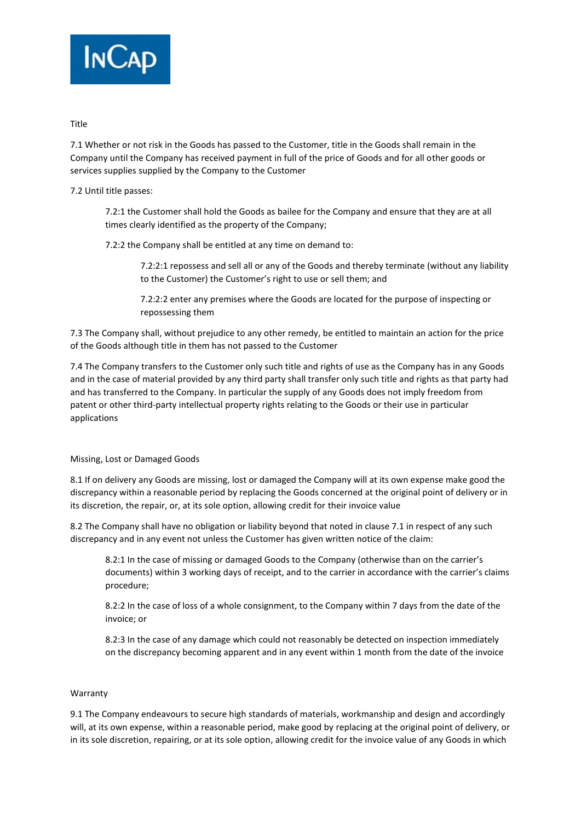

# Title

7.1 Whether or not risk in the Goods has passed to the Customer, title in the Goods shall remain in the Company until the Company has received payment in full of the price of Goods and for all other goods or services supplies supplied by the Company to the Customer

7.2 Until title passes:

7.2:1 the Customer shall hold the Goods as bailee for the Company and ensure that they are at all times clearly identified as the property of the Company;

7.2:2 the Company shall be entitled at any time on demand to:

7.2:2:1 repossess and sell all or any of the Goods and thereby terminate (without any liability to the Customer) the Customer's right to use or sell them; and

7.2:2:2 enter any premises where the Goods are located for the purpose of inspecting or repossessing them

7.3 The Company shall, without prejudice to any other remedy, be entitled to maintain an action for the price of the Goods although title in them has not passed to the Customer

7.4 The Company transfers to the Customer only such title and rights of use as the Company has in any Goods and in the case of material provided by any third party shall transfer only such title and rights as that party had and has transferred to the Company. In particular the supply of any Goods does not imply freedom from patent or other third-party intellectual property rights relating to the Goods or their use in particular applications

# Missing, Lost or Damaged Goods

8.1 If on delivery any Goods are missing, lost or damaged the Company will at its own expense make good the discrepancy within a reasonable period by replacing the Goods concerned at the original point of delivery or in its discretion, the repair, or, at its sole option, allowing credit for their invoice value

8.2 The Company shall have no obligation or liability beyond that noted in clause 7.1 in respect of any such discrepancy and in any event not unless the Customer has given written notice of the claim:

8.2:1 In the case of missing or damaged Goods to the Company (otherwise than on the carrier's documents) within 3 working days of receipt, and to the carrier in accordance with the carrier's claims procedure;

8.2:2 In the case of loss of a whole consignment, to the Company within 7 days from the date of the invoice; or

8.2:3 In the case of any damage which could not reasonably be detected on inspection immediately on the discrepancy becoming apparent and in any event within 1 month from the date of the invoice

# Warranty

9.1 The Company endeavours to secure high standards of materials, workmanship and design and accordingly will, at its own expense, within a reasonable period, make good by replacing at the original point of delivery, or in its sole discretion, repairing, or at its sole option, allowing credit for the invoice value of any Goods in which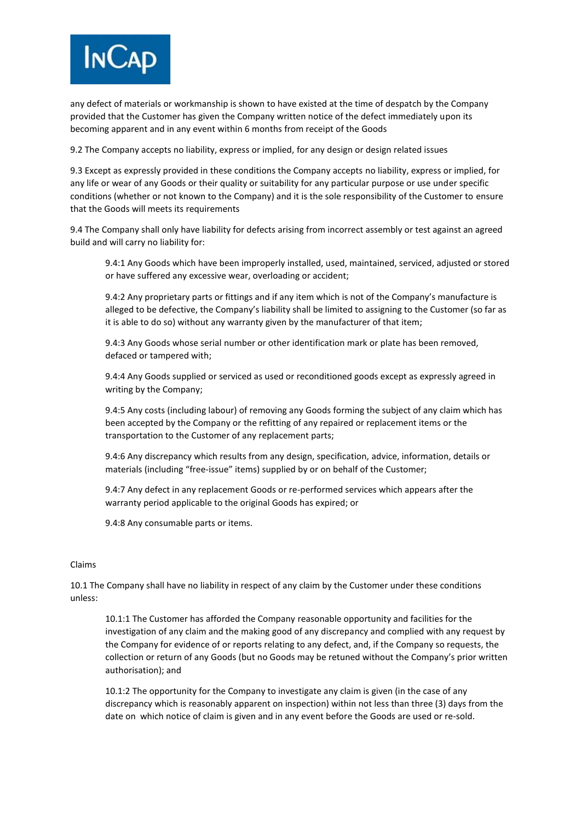

any defect of materials or workmanship is shown to have existed at the time of despatch by the Company provided that the Customer has given the Company written notice of the defect immediately upon its becoming apparent and in any event within 6 months from receipt of the Goods

9.2 The Company accepts no liability, express or implied, for any design or design related issues

9.3 Except as expressly provided in these conditions the Company accepts no liability, express or implied, for any life or wear of any Goods or their quality or suitability for any particular purpose or use under specific conditions (whether or not known to the Company) and it is the sole responsibility of the Customer to ensure that the Goods will meets its requirements

9.4 The Company shall only have liability for defects arising from incorrect assembly or test against an agreed build and will carry no liability for:

9.4:1 Any Goods which have been improperly installed, used, maintained, serviced, adjusted or stored or have suffered any excessive wear, overloading or accident;

9.4:2 Any proprietary parts or fittings and if any item which is not of the Company's manufacture is alleged to be defective, the Company's liability shall be limited to assigning to the Customer (so far as it is able to do so) without any warranty given by the manufacturer of that item;

9.4:3 Any Goods whose serial number or other identification mark or plate has been removed, defaced or tampered with;

9.4:4 Any Goods supplied or serviced as used or reconditioned goods except as expressly agreed in writing by the Company;

9.4:5 Any costs (including labour) of removing any Goods forming the subject of any claim which has been accepted by the Company or the refitting of any repaired or replacement items or the transportation to the Customer of any replacement parts;

9.4:6 Any discrepancy which results from any design, specification, advice, information, details or materials (including "free-issue" items) supplied by or on behalf of the Customer;

9.4:7 Any defect in any replacement Goods or re-performed services which appears after the warranty period applicable to the original Goods has expired; or

9.4:8 Any consumable parts or items.

### Claims

10.1 The Company shall have no liability in respect of any claim by the Customer under these conditions unless:

10.1:1 The Customer has afforded the Company reasonable opportunity and facilities for the investigation of any claim and the making good of any discrepancy and complied with any request by the Company for evidence of or reports relating to any defect, and, if the Company so requests, the collection or return of any Goods (but no Goods may be retuned without the Company's prior written authorisation); and

10.1:2 The opportunity for the Company to investigate any claim is given (in the case of any discrepancy which is reasonably apparent on inspection) within not less than three (3) days from the date on which notice of claim is given and in any event before the Goods are used or re-sold.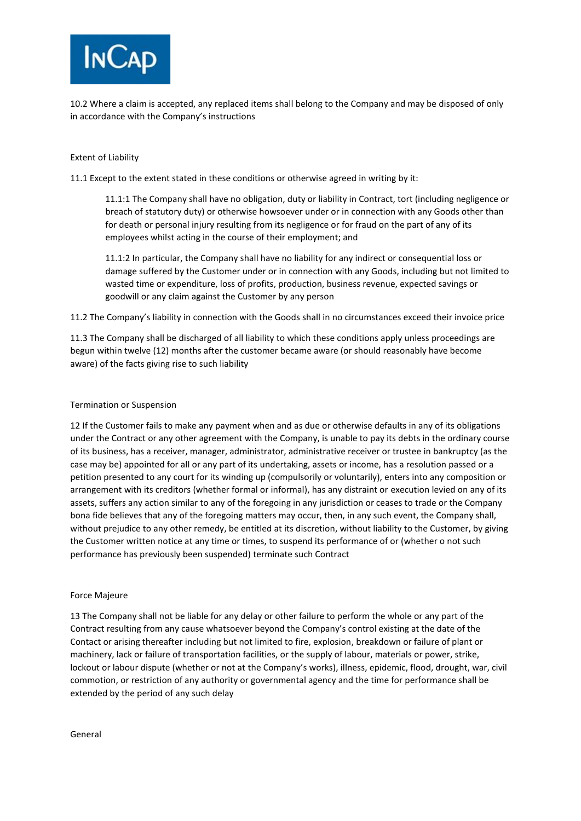

10.2 Where a claim is accepted, any replaced items shall belong to the Company and may be disposed of only in accordance with the Company's instructions

## Extent of Liability

11.1 Except to the extent stated in these conditions or otherwise agreed in writing by it:

11.1:1 The Company shall have no obligation, duty or liability in Contract, tort (including negligence or breach of statutory duty) or otherwise howsoever under or in connection with any Goods other than for death or personal injury resulting from its negligence or for fraud on the part of any of its employees whilst acting in the course of their employment; and

11.1:2 In particular, the Company shall have no liability for any indirect or consequential loss or damage suffered by the Customer under or in connection with any Goods, including but not limited to wasted time or expenditure, loss of profits, production, business revenue, expected savings or goodwill or any claim against the Customer by any person

11.2 The Company's liability in connection with the Goods shall in no circumstances exceed their invoice price

11.3 The Company shall be discharged of all liability to which these conditions apply unless proceedings are begun within twelve (12) months after the customer became aware (or should reasonably have become aware) of the facts giving rise to such liability

## Termination or Suspension

12 If the Customer fails to make any payment when and as due or otherwise defaults in any of its obligations under the Contract or any other agreement with the Company, is unable to pay its debts in the ordinary course of its business, has a receiver, manager, administrator, administrative receiver or trustee in bankruptcy (as the case may be) appointed for all or any part of its undertaking, assets or income, has a resolution passed or a petition presented to any court for its winding up (compulsorily or voluntarily), enters into any composition or arrangement with its creditors (whether formal or informal), has any distraint or execution levied on any of its assets, suffers any action similar to any of the foregoing in any jurisdiction or ceases to trade or the Company bona fide believes that any of the foregoing matters may occur, then, in any such event, the Company shall, without prejudice to any other remedy, be entitled at its discretion, without liability to the Customer, by giving the Customer written notice at any time or times, to suspend its performance of or (whether o not such performance has previously been suspended) terminate such Contract

### Force Majeure

13 The Company shall not be liable for any delay or other failure to perform the whole or any part of the Contract resulting from any cause whatsoever beyond the Company's control existing at the date of the Contact or arising thereafter including but not limited to fire, explosion, breakdown or failure of plant or machinery, lack or failure of transportation facilities, or the supply of labour, materials or power, strike, lockout or labour dispute (whether or not at the Company's works), illness, epidemic, flood, drought, war, civil commotion, or restriction of any authority or governmental agency and the time for performance shall be extended by the period of any such delay

### General